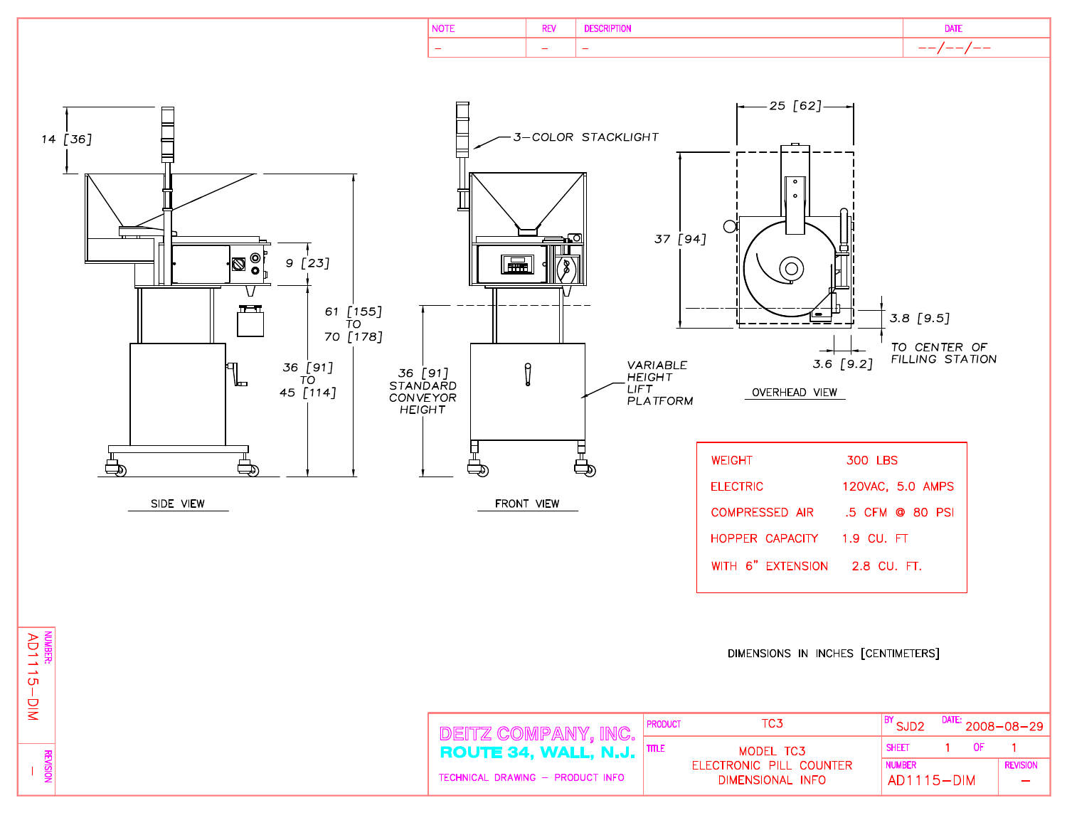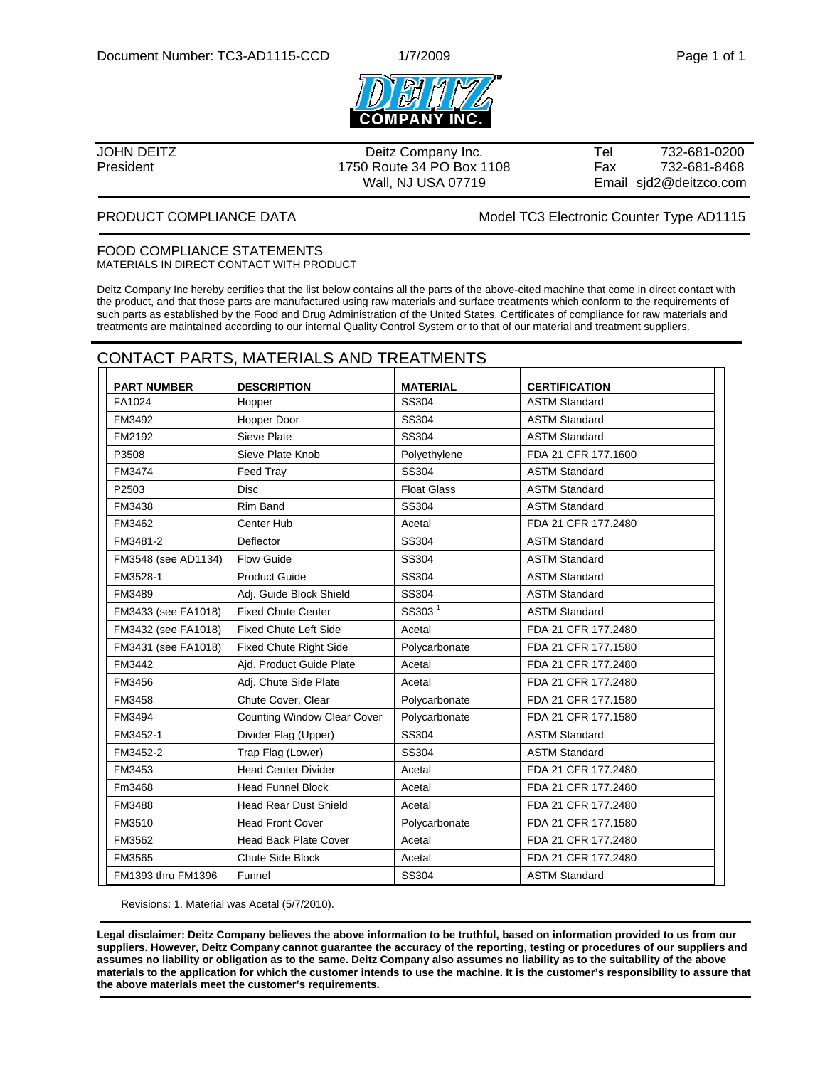



President 1750 Route 34 PO Box 1108 Fax 732-681-8468

JOHN DEITZ Deitz Company Inc. Tel 732-681-0200 Wall, NJ USA 07719 **Email sjd2@deitzco.com** 

PRODUCT COMPLIANCE DATA Model TC3 Electronic Counter Type AD1115

#### FOOD COMPLIANCE STATEMENTS MATERIALS IN DIRECT CONTACT WITH PRODUCT

Deitz Company Inc hereby certifies that the list below contains all the parts of the above-cited machine that come in direct contact with the product, and that those parts are manufactured using raw materials and surface treatments which conform to the requirements of such parts as established by the Food and Drug Administration of the United States. Certificates of compliance for raw materials and treatments are maintained according to our internal Quality Control System or to that of our material and treatment suppliers.

#### CONTACT PARTS, MATERIALS AND TREATMENTS

| <b>PART NUMBER</b>  | <b>DESCRIPTION</b>                 | <b>MATERIAL</b>    | <b>CERTIFICATION</b> |
|---------------------|------------------------------------|--------------------|----------------------|
| FA1024              | Hopper                             | SS304              | <b>ASTM Standard</b> |
| FM3492              | Hopper Door                        | SS304              | <b>ASTM Standard</b> |
| FM2192              | Sieve Plate                        | SS304              | <b>ASTM Standard</b> |
| P3508               | Sieve Plate Knob                   | Polyethylene       | FDA 21 CFR 177.1600  |
| FM3474              | Feed Tray                          | SS304              | <b>ASTM Standard</b> |
| P2503               | <b>Disc</b>                        | <b>Float Glass</b> | <b>ASTM Standard</b> |
| FM3438              | Rim Band                           | <b>SS304</b>       | <b>ASTM Standard</b> |
| FM3462              | Center Hub                         | Acetal             | FDA 21 CFR 177,2480  |
| FM3481-2            | Deflector                          | SS304              | <b>ASTM Standard</b> |
| FM3548 (see AD1134) | Flow Guide                         | SS304              | <b>ASTM Standard</b> |
| FM3528-1            | <b>Product Guide</b>               | SS304              | <b>ASTM Standard</b> |
| FM3489              | Adj. Guide Block Shield            | SS304              | <b>ASTM Standard</b> |
| FM3433 (see FA1018) | <b>Fixed Chute Center</b>          | SS303 <sup>1</sup> | <b>ASTM Standard</b> |
| FM3432 (see FA1018) | <b>Fixed Chute Left Side</b>       | Acetal             | FDA 21 CFR 177.2480  |
| FM3431 (see FA1018) | <b>Fixed Chute Right Side</b>      | Polycarbonate      | FDA 21 CFR 177.1580  |
| FM3442              | Aid. Product Guide Plate           | Acetal             | FDA 21 CFR 177.2480  |
| FM3456              | Adj. Chute Side Plate              | Acetal             | FDA 21 CFR 177.2480  |
| FM3458              | Chute Cover, Clear                 | Polycarbonate      | FDA 21 CFR 177.1580  |
| FM3494              | <b>Counting Window Clear Cover</b> | Polycarbonate      | FDA 21 CFR 177.1580  |
| FM3452-1            | Divider Flag (Upper)               | SS304              | <b>ASTM Standard</b> |
| FM3452-2            | Trap Flag (Lower)                  | SS304              | <b>ASTM Standard</b> |
| FM3453              | <b>Head Center Divider</b>         | Acetal             | FDA 21 CFR 177.2480  |
| Fm3468              | <b>Head Funnel Block</b>           | Acetal             | FDA 21 CFR 177.2480  |
| FM3488              | <b>Head Rear Dust Shield</b>       | Acetal             | FDA 21 CFR 177.2480  |
| FM3510              | <b>Head Front Cover</b>            | Polycarbonate      | FDA 21 CFR 177.1580  |
| FM3562              | <b>Head Back Plate Cover</b>       | Acetal             | FDA 21 CFR 177.2480  |
| FM3565              | <b>Chute Side Block</b>            | Acetal             | FDA 21 CFR 177.2480  |
| FM1393 thru FM1396  | Funnel                             | SS304              | <b>ASTM Standard</b> |

Revisions: 1. Material was Acetal (5/7/2010).

**Legal disclaimer: Deitz Company believes the above information to be truthful, based on information provided to us from our suppliers. However, Deitz Company cannot guarantee the accuracy of the reporting, testing or procedures of our suppliers and assumes no liability or obligation as to the same. Deitz Company also assumes no liability as to the suitability of the above materials to the application for which the customer intends to use the machine. It is the customer's responsibility to assure that the above materials meet the customer's requirements.**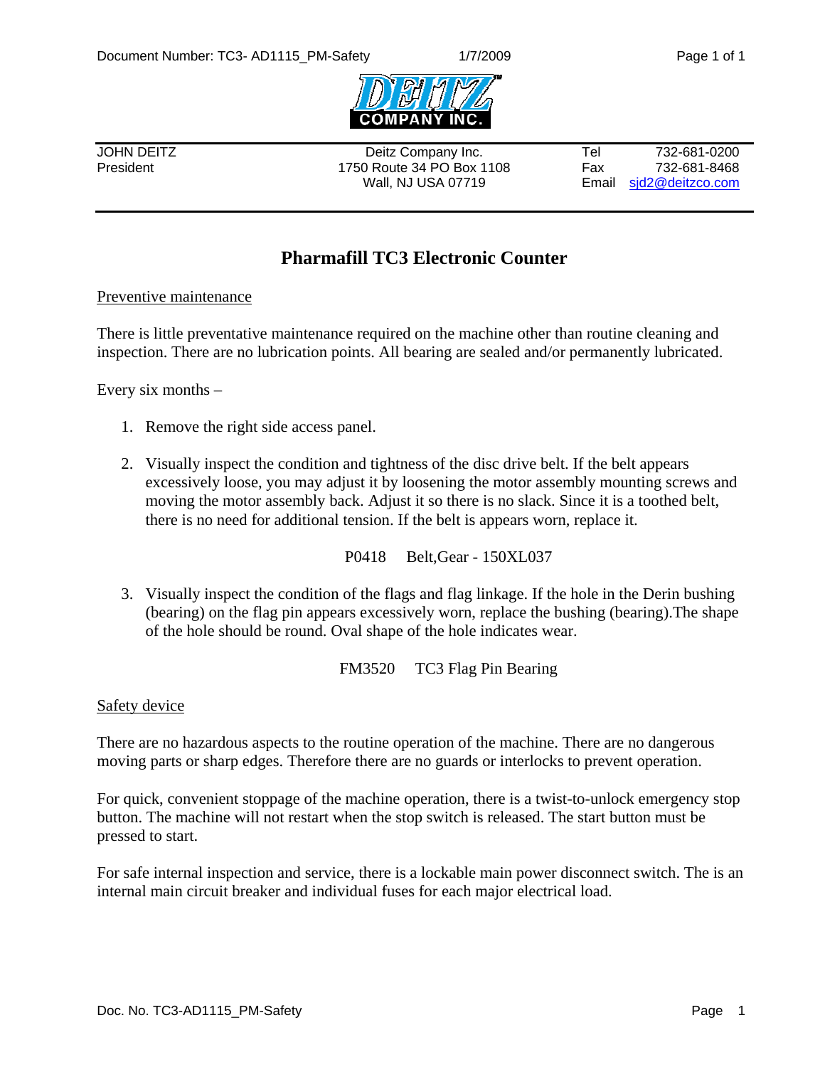

JOHN DEITZ Deitz Company Inc. Tel 732-681-0200 President 1750 Route 34 PO Box 1108 Fax 732-681-8468 Wall, NJ USA 07719 **Email** sid2@deitzco.com

### **Pharmafill TC3 Electronic Counter**

#### Preventive maintenance

There is little preventative maintenance required on the machine other than routine cleaning and inspection. There are no lubrication points. All bearing are sealed and/or permanently lubricated.

Every six months –

- 1. Remove the right side access panel.
- 2. Visually inspect the condition and tightness of the disc drive belt. If the belt appears excessively loose, you may adjust it by loosening the motor assembly mounting screws and moving the motor assembly back. Adjust it so there is no slack. Since it is a toothed belt, there is no need for additional tension. If the belt is appears worn, replace it.

P0418 Belt,Gear - 150XL037

3. Visually inspect the condition of the flags and flag linkage. If the hole in the Derin bushing (bearing) on the flag pin appears excessively worn, replace the bushing (bearing).The shape of the hole should be round. Oval shape of the hole indicates wear.

FM3520 TC3 Flag Pin Bearing

#### Safety device

There are no hazardous aspects to the routine operation of the machine. There are no dangerous moving parts or sharp edges. Therefore there are no guards or interlocks to prevent operation.

For quick, convenient stoppage of the machine operation, there is a twist-to-unlock emergency stop button. The machine will not restart when the stop switch is released. The start button must be pressed to start.

For safe internal inspection and service, there is a lockable main power disconnect switch. The is an internal main circuit breaker and individual fuses for each major electrical load.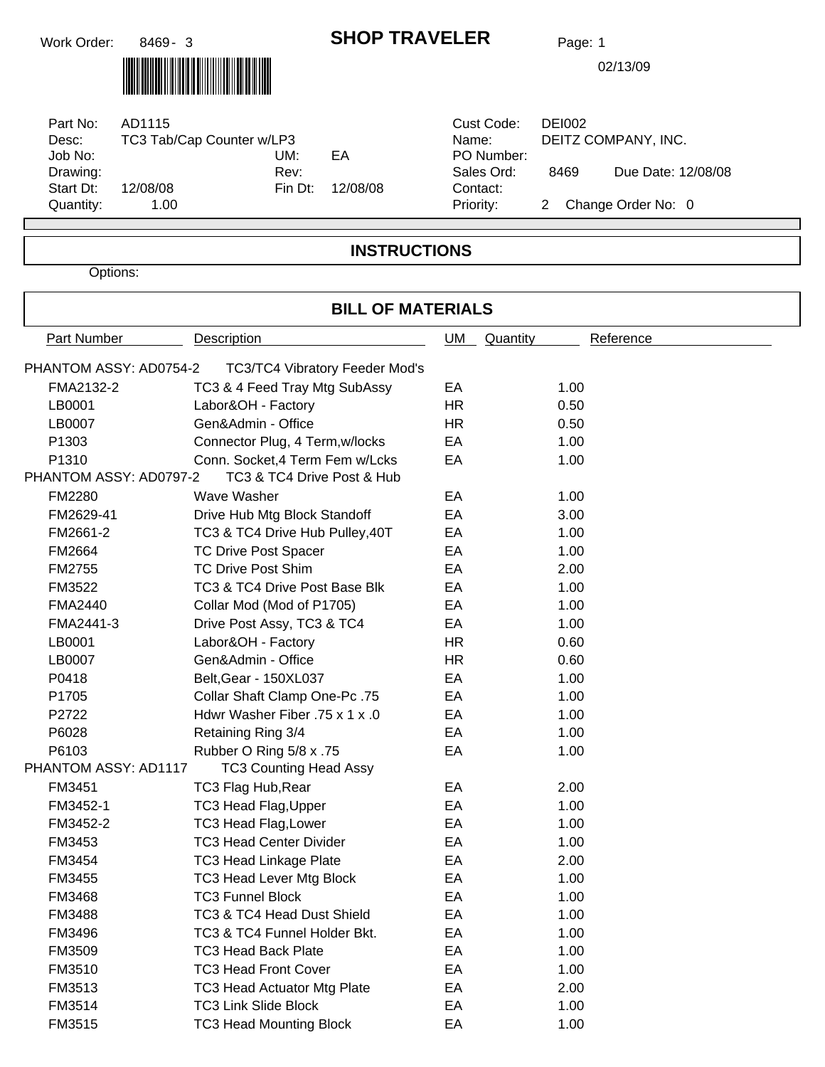### **SHOP TRAVELER** Page: 1

02/13/09

| Part No:<br>Desc:<br>Job No:<br>Drawing:<br>Start Dt: | AD1115<br>TC3 Tab/Cap Counter w/LP3<br>12/08/08 | UM:<br>Rev: | EΑ<br>Fin Dt: 12/08/08 | Cust Code:<br>Name:<br>PO Number:<br>Sales Ord:<br>Contact: | D<br>D |
|-------------------------------------------------------|-------------------------------------------------|-------------|------------------------|-------------------------------------------------------------|--------|
| Quantity:                                             | 1.00                                            |             |                        | Priority:                                                   | 2      |

| Cust Code: | DEI002               |                    |  |  |  |  |  |  |
|------------|----------------------|--------------------|--|--|--|--|--|--|
| Name:      | DEITZ COMPANY, INC.  |                    |  |  |  |  |  |  |
| PO Number: |                      |                    |  |  |  |  |  |  |
| Sales Ord: | 8469                 | Due Date: 12/08/08 |  |  |  |  |  |  |
| Contact:   |                      |                    |  |  |  |  |  |  |
| Priority:  | 2 Change Order No: 0 |                    |  |  |  |  |  |  |

#### **INSTRUCTIONS**

Options:

### **BILL OF MATERIALS** Part Number Description Description Description Description Description Description Description Description Description Description Description Description Description Description Description Description Description Descri PHANTOM ASSY: AD0754-2 TC3/TC4 Vibratory Feeder Mod's FMA2132-2 TC3 & 4 Feed Tray Mtg SubAssy EA 1.00 LB0001 Labor&OH - Factory The HR 0.50 LB0007 Gen&Admin - Office The HR 0.50 P1303 Connector Plug, 4 Term, w/locks EA 1.00 P1310 Conn. Socket,4 Term Fem w/Lcks EA 1.00 PHANTOM ASSY: AD0797-2 TC3 & TC4 Drive Post & Hub FM2280 EA 1.00 Wave Washer FM2629-41 EA 3.00 Drive Hub Mtg Block Standoff FM2661-2 TC3 & TC4 Drive Hub Pulley, 40T EA 1.00 FM2664 TC Drive Post Spacer EA EA 1.00 FM2755 EA 2.00 TC Drive Post Shim FM3522 TC3 & TC4 Drive Post Base Blk BA CA 1.00 FMA2440 EA 1.00 Collar Mod (Mod of P1705) FMA2441-3 Drive Post Assy, TC3 & TC4 EA 1.00 LB0001 Labor&OH - Factory HR 0.60 LB0007 Gen&Admin - Office The CHR COMBINE COMBINE COMBINE COMBINE COMBINE COMBINE COMBINE COMBINE COMBINE COMB P0418 **Belt,Gear - 150XL037** EA 1.00 P1705 EA 1.00 Collar Shaft Clamp One-Pc .75

| P2722                | Hdwr Washer Fiber .75 x 1 x .0 | EA  | 1.00 |
|----------------------|--------------------------------|-----|------|
| P6028                | Retaining Ring 3/4             | EA. | 1.00 |
| P6103                | Rubber O Ring 5/8 x .75        | EA  | 1.00 |
| PHANTOM ASSY: AD1117 | <b>TC3 Counting Head Assy</b>  |     |      |
| FM3451               | TC3 Flag Hub, Rear             | EA  | 2.00 |
| FM3452-1             | TC3 Head Flag, Upper           | EA. | 1.00 |
| FM3452-2             | <b>TC3 Head Flag, Lower</b>    | EA  | 1.00 |
| FM3453               | <b>TC3 Head Center Divider</b> | EA  | 1.00 |
| <b>FM3454</b>        | <b>TC3 Head Linkage Plate</b>  | EA  | 2.00 |
| FM3455               | TC3 Head Lever Mtg Block       | EA  | 1.00 |
| <b>FM3468</b>        | <b>TC3 Funnel Block</b>        | EA  | 1.00 |
| <b>FM3488</b>        | TC3 & TC4 Head Dust Shield     | EA  | 1.00 |
| FM3496               | TC3 & TC4 Funnel Holder Bkt.   | EA  | 1.00 |
| FM3509               | TC3 Head Back Plate            | EA  | 1.00 |
| FM3510               | <b>TC3 Head Front Cover</b>    | EA  | 1.00 |
| FM3513               | TC3 Head Actuator Mtg Plate    | EA  | 2.00 |
| FM3514               | <b>TC3 Link Slide Block</b>    | EA  | 1.00 |
| FM3515               | <b>TC3 Head Mounting Block</b> | EA  | 1.00 |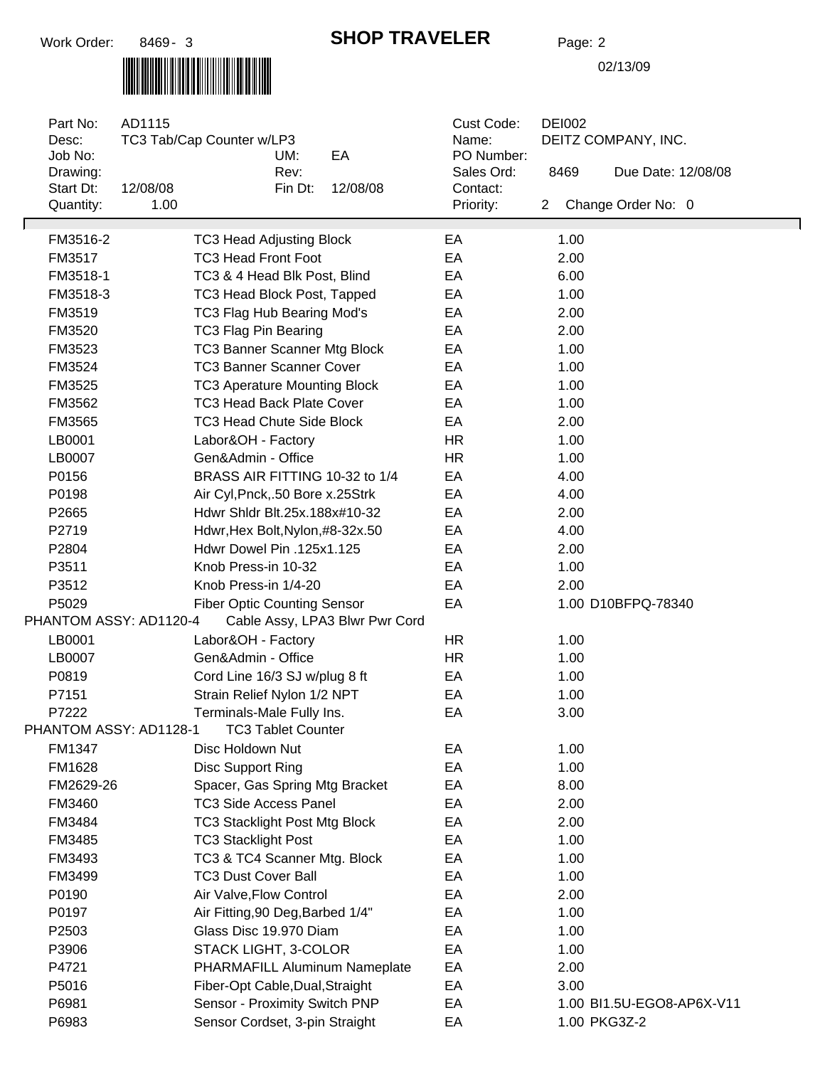#### **SHOP TRAVELER** Page: 2

| Part No:<br>Desc:<br>Job No: | AD1115   | TC3 Tab/Cap Counter w/LP3            | UM:                       | EA                             | Cust Code:<br>Name:<br>PO Number: |   | <b>DEI002</b><br>DEITZ COMPANY, INC. |                           |  |  |
|------------------------------|----------|--------------------------------------|---------------------------|--------------------------------|-----------------------------------|---|--------------------------------------|---------------------------|--|--|
| Drawing:<br>Start Dt:        | 12/08/08 |                                      | Rev:<br>Fin Dt:           | 12/08/08                       | Sales Ord:<br>Contact:            |   | 8469                                 | Due Date: 12/08/08        |  |  |
| Quantity:                    | 1.00     |                                      |                           |                                | Priority:                         | 2 |                                      | Change Order No: 0        |  |  |
| FM3516-2                     |          | <b>TC3 Head Adjusting Block</b>      |                           |                                | EA                                |   | 1.00                                 |                           |  |  |
| FM3517                       |          | <b>TC3 Head Front Foot</b>           |                           |                                | EA                                |   | 2.00                                 |                           |  |  |
| FM3518-1                     |          | TC3 & 4 Head Blk Post, Blind         |                           |                                | EA                                |   | 6.00                                 |                           |  |  |
| FM3518-3                     |          | TC3 Head Block Post, Tapped          |                           |                                | EA                                |   | 1.00                                 |                           |  |  |
| FM3519                       |          | TC3 Flag Hub Bearing Mod's           |                           |                                | EA                                |   | 2.00                                 |                           |  |  |
| FM3520                       |          | <b>TC3 Flag Pin Bearing</b>          |                           |                                | EA                                |   | 2.00                                 |                           |  |  |
| FM3523                       |          | TC3 Banner Scanner Mtg Block         |                           |                                | EA                                |   | 1.00                                 |                           |  |  |
| FM3524                       |          | <b>TC3 Banner Scanner Cover</b>      |                           |                                | EA                                |   | 1.00                                 |                           |  |  |
| FM3525                       |          | <b>TC3 Aperature Mounting Block</b>  |                           |                                | EA                                |   | 1.00                                 |                           |  |  |
| FM3562                       |          | <b>TC3 Head Back Plate Cover</b>     |                           |                                | EA                                |   | 1.00                                 |                           |  |  |
| FM3565                       |          | <b>TC3 Head Chute Side Block</b>     |                           |                                | EA                                |   | 2.00                                 |                           |  |  |
| LB0001                       |          | Labor&OH - Factory                   |                           |                                | <b>HR</b>                         |   | 1.00                                 |                           |  |  |
| LB0007                       |          | Gen&Admin - Office                   |                           |                                | <b>HR</b>                         |   | 1.00                                 |                           |  |  |
| P0156                        |          | BRASS AIR FITTING 10-32 to 1/4       |                           |                                | EA                                |   | 4.00                                 |                           |  |  |
| P0198                        |          | Air Cyl, Pnck, 50 Bore x.25Strk      |                           |                                | EA                                |   | 4.00                                 |                           |  |  |
| P2665                        |          | Hdwr Shldr Blt.25x.188x#10-32        |                           |                                | EA                                |   | 2.00                                 |                           |  |  |
| P2719                        |          | Hdwr, Hex Bolt, Nylon, #8-32x.50     |                           |                                | EA                                |   | 4.00                                 |                           |  |  |
| P2804                        |          | Hdwr Dowel Pin .125x1.125            |                           |                                | EA                                |   | 2.00                                 |                           |  |  |
| P3511                        |          | Knob Press-in 10-32                  |                           |                                | EA                                |   | 1.00                                 |                           |  |  |
| P3512                        |          | Knob Press-in 1/4-20                 |                           |                                | EA                                |   | 2.00                                 |                           |  |  |
| P5029                        |          | <b>Fiber Optic Counting Sensor</b>   |                           |                                | EA                                |   |                                      | 1.00 D10BFPQ-78340        |  |  |
| PHANTOM ASSY: AD1120-4       |          |                                      |                           | Cable Assy, LPA3 Blwr Pwr Cord |                                   |   |                                      |                           |  |  |
| LB0001                       |          | Labor&OH - Factory                   |                           |                                | <b>HR</b>                         |   | 1.00                                 |                           |  |  |
| LB0007                       |          | Gen&Admin - Office                   |                           |                                | <b>HR</b>                         |   | 1.00                                 |                           |  |  |
| P0819                        |          | Cord Line 16/3 SJ w/plug 8 ft        |                           |                                | EA                                |   | 1.00                                 |                           |  |  |
| P7151                        |          | Strain Relief Nylon 1/2 NPT          |                           |                                | EA                                |   | 1.00                                 |                           |  |  |
| P7222                        |          | Terminals-Male Fully Ins.            |                           |                                | EA                                |   | 3.00                                 |                           |  |  |
| PHANTOM ASSY: AD1128-1       |          |                                      | <b>TC3 Tablet Counter</b> |                                |                                   |   |                                      |                           |  |  |
| FM1347                       |          | Disc Holdown Nut                     |                           |                                | EA                                |   | 1.00                                 |                           |  |  |
| FM1628                       |          | Disc Support Ring                    |                           |                                | EA                                |   | 1.00                                 |                           |  |  |
| FM2629-26                    |          | Spacer, Gas Spring Mtg Bracket       |                           |                                | EA                                |   | 8.00                                 |                           |  |  |
| FM3460                       |          | <b>TC3 Side Access Panel</b>         |                           |                                | EA                                |   | 2.00                                 |                           |  |  |
| FM3484                       |          | <b>TC3 Stacklight Post Mtg Block</b> |                           |                                | EA                                |   | 2.00                                 |                           |  |  |
| FM3485                       |          | <b>TC3 Stacklight Post</b>           |                           |                                | EA                                |   | 1.00                                 |                           |  |  |
| FM3493                       |          | TC3 & TC4 Scanner Mtg. Block         |                           |                                | EA                                |   | 1.00                                 |                           |  |  |
| FM3499                       |          | <b>TC3 Dust Cover Ball</b>           |                           |                                | EA                                |   | 1.00                                 |                           |  |  |
| P0190                        |          | Air Valve, Flow Control              |                           |                                | EA                                |   | 2.00                                 |                           |  |  |
| P0197                        |          | Air Fitting, 90 Deg, Barbed 1/4"     |                           |                                | EA                                |   | 1.00                                 |                           |  |  |
| P2503                        |          | Glass Disc 19.970 Diam               |                           |                                | EA                                |   | 1.00                                 |                           |  |  |
| P3906                        |          | <b>STACK LIGHT, 3-COLOR</b>          |                           |                                | EA                                |   | 1.00                                 |                           |  |  |
| P4721                        |          |                                      |                           | PHARMAFILL Aluminum Nameplate  | EA                                |   | 2.00                                 |                           |  |  |
| P5016                        |          | Fiber-Opt Cable, Dual, Straight      |                           |                                | EA                                |   | 3.00                                 |                           |  |  |
| P6981                        |          | Sensor - Proximity Switch PNP        |                           |                                | EA                                |   |                                      | 1.00 BI1.5U-EGO8-AP6X-V11 |  |  |
| P6983                        |          | Sensor Cordset, 3-pin Straight       |                           |                                | EА                                |   |                                      | 1.00 PKG3Z-2              |  |  |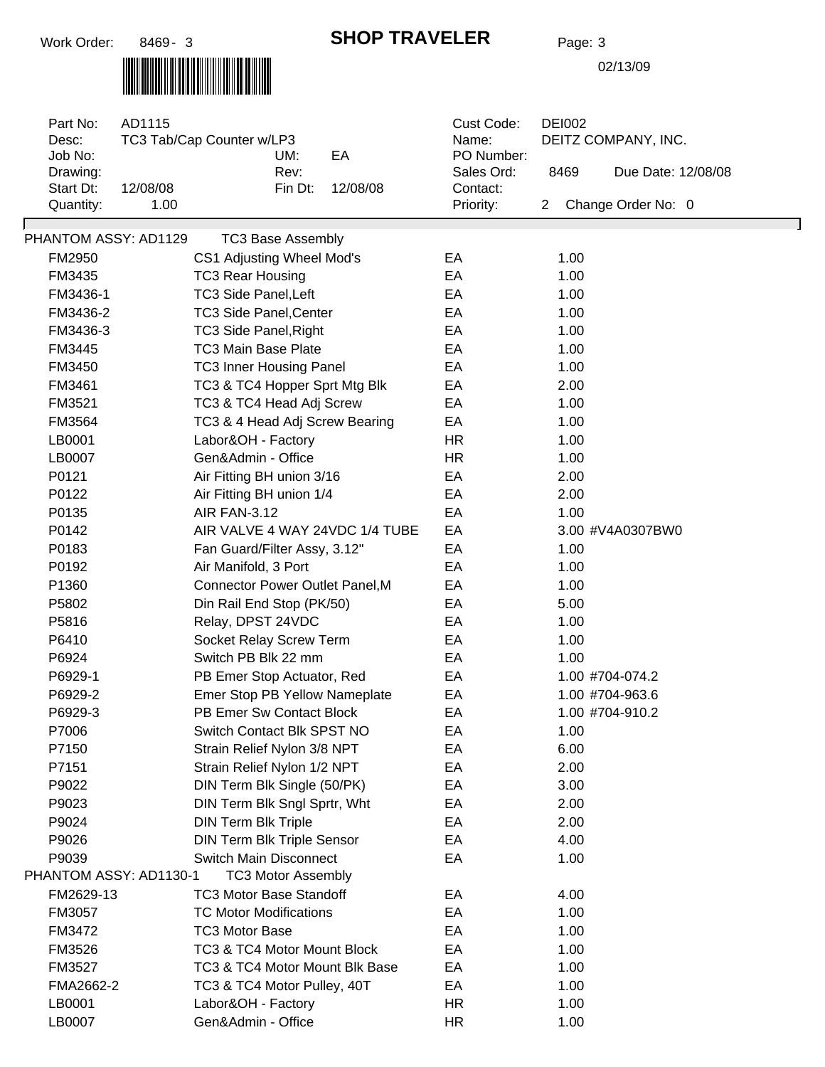# 

#### **SHOP TRAVELER** Page: 3

| Part No:<br>Desc:<br>Job No:<br>Drawing:<br>Start Dt:<br>Quantity: | AD1115<br>TC3 Tab/Cap Counter w/LP3<br>12/08/08<br>1.00 | UM:<br>Rev:<br>Fin Dt:                                          | EA<br>12/08/08 | Cust Code:<br>Name:<br>PO Number:<br>Sales Ord:<br>Contact:<br>Priority: | <b>DEI002</b><br>8469<br>$\mathbf{2}$ | DEITZ COMPANY, INC.<br>Due Date: 12/08/08<br>Change Order No: 0 |
|--------------------------------------------------------------------|---------------------------------------------------------|-----------------------------------------------------------------|----------------|--------------------------------------------------------------------------|---------------------------------------|-----------------------------------------------------------------|
| PHANTOM ASSY: AD1129                                               |                                                         | <b>TC3 Base Assembly</b>                                        |                |                                                                          |                                       |                                                                 |
| FM2950                                                             |                                                         | CS1 Adjusting Wheel Mod's                                       |                | EA                                                                       | 1.00                                  |                                                                 |
| FM3435                                                             |                                                         | <b>TC3 Rear Housing</b>                                         |                | EA                                                                       | 1.00                                  |                                                                 |
| FM3436-1                                                           |                                                         | <b>TC3 Side Panel, Left</b>                                     |                | EA                                                                       | 1.00                                  |                                                                 |
| FM3436-2                                                           |                                                         | <b>TC3 Side Panel, Center</b>                                   |                | EA                                                                       | 1.00                                  |                                                                 |
| FM3436-3                                                           |                                                         | TC3 Side Panel, Right                                           |                | EA                                                                       | 1.00                                  |                                                                 |
| FM3445                                                             |                                                         | <b>TC3 Main Base Plate</b>                                      |                | EA                                                                       | 1.00                                  |                                                                 |
| FM3450                                                             |                                                         |                                                                 |                | EA                                                                       | 1.00                                  |                                                                 |
| FM3461                                                             |                                                         | <b>TC3 Inner Housing Panel</b><br>TC3 & TC4 Hopper Sprt Mtg Blk |                | EA                                                                       | 2.00                                  |                                                                 |
|                                                                    |                                                         |                                                                 |                |                                                                          | 1.00                                  |                                                                 |
| FM3521<br>FM3564                                                   |                                                         | TC3 & TC4 Head Adj Screw                                        |                | EA                                                                       |                                       |                                                                 |
|                                                                    |                                                         | TC3 & 4 Head Adj Screw Bearing                                  |                | EA                                                                       | 1.00                                  |                                                                 |
| LB0001                                                             |                                                         | Labor&OH - Factory                                              |                | <b>HR</b>                                                                | 1.00                                  |                                                                 |
| LB0007                                                             |                                                         | Gen&Admin - Office                                              |                | <b>HR</b>                                                                | 1.00                                  |                                                                 |
| P0121                                                              |                                                         | Air Fitting BH union 3/16                                       |                | EA                                                                       | 2.00                                  |                                                                 |
| P0122                                                              |                                                         | Air Fitting BH union 1/4                                        |                | EA                                                                       | 2.00                                  |                                                                 |
| P0135                                                              |                                                         | <b>AIR FAN-3.12</b>                                             |                | EA                                                                       | 1.00                                  |                                                                 |
| P0142                                                              |                                                         | AIR VALVE 4 WAY 24VDC 1/4 TUBE                                  |                | EA                                                                       |                                       | 3.00 #V4A0307BW0                                                |
| P0183                                                              |                                                         | Fan Guard/Filter Assy, 3.12"                                    |                | EA                                                                       | 1.00                                  |                                                                 |
| P0192                                                              |                                                         | Air Manifold, 3 Port                                            |                | EA                                                                       | 1.00                                  |                                                                 |
| P1360                                                              |                                                         | <b>Connector Power Outlet Panel, M</b>                          |                | EA                                                                       | 1.00                                  |                                                                 |
| P5802                                                              |                                                         | Din Rail End Stop (PK/50)                                       |                | EA                                                                       | 5.00                                  |                                                                 |
| P5816                                                              |                                                         | Relay, DPST 24VDC                                               |                | EA                                                                       | 1.00                                  |                                                                 |
| P6410                                                              |                                                         | Socket Relay Screw Term                                         |                | EA                                                                       | 1.00                                  |                                                                 |
| P6924                                                              |                                                         | Switch PB Blk 22 mm                                             |                | EA                                                                       | 1.00                                  |                                                                 |
| P6929-1                                                            |                                                         | PB Emer Stop Actuator, Red                                      |                | EA                                                                       |                                       | 1.00 #704-074.2                                                 |
| P6929-2                                                            |                                                         | Emer Stop PB Yellow Nameplate                                   |                | EA                                                                       |                                       | 1.00 #704-963.6                                                 |
| P6929-3                                                            |                                                         | PB Emer Sw Contact Block                                        |                | EA                                                                       |                                       | 1.00 #704-910.2                                                 |
| P7006                                                              |                                                         | Switch Contact Blk SPST NO                                      |                | EA                                                                       | 1.00                                  |                                                                 |
| P7150                                                              |                                                         | Strain Relief Nylon 3/8 NPT                                     |                | EA                                                                       | 6.00                                  |                                                                 |
| P7151                                                              |                                                         | Strain Relief Nylon 1/2 NPT                                     |                | EA                                                                       | 2.00                                  |                                                                 |
| P9022                                                              |                                                         | DIN Term Blk Single (50/PK)                                     |                | EA                                                                       | 3.00                                  |                                                                 |
| P9023                                                              |                                                         | DIN Term Blk Sngl Sprtr, Wht                                    |                | EA                                                                       | 2.00                                  |                                                                 |
| P9024                                                              |                                                         | <b>DIN Term Blk Triple</b>                                      |                | EA                                                                       | 2.00                                  |                                                                 |
| P9026                                                              |                                                         | <b>DIN Term Blk Triple Sensor</b>                               |                | EA                                                                       | 4.00                                  |                                                                 |
| P9039                                                              |                                                         | <b>Switch Main Disconnect</b>                                   |                | EA                                                                       | 1.00                                  |                                                                 |
| PHANTOM ASSY: AD1130-1                                             |                                                         | <b>TC3 Motor Assembly</b>                                       |                |                                                                          |                                       |                                                                 |
| FM2629-13                                                          |                                                         | <b>TC3 Motor Base Standoff</b>                                  |                | EA                                                                       | 4.00                                  |                                                                 |
| FM3057                                                             |                                                         | <b>TC Motor Modifications</b>                                   |                | EA                                                                       | 1.00                                  |                                                                 |
| FM3472                                                             |                                                         | <b>TC3 Motor Base</b>                                           |                | EA                                                                       | 1.00                                  |                                                                 |
| FM3526                                                             |                                                         | TC3 & TC4 Motor Mount Block                                     |                | EA                                                                       | 1.00                                  |                                                                 |
| FM3527                                                             |                                                         | TC3 & TC4 Motor Mount Blk Base                                  |                | EA                                                                       | 1.00                                  |                                                                 |
| FMA2662-2                                                          |                                                         | TC3 & TC4 Motor Pulley, 40T                                     |                | EA                                                                       | 1.00                                  |                                                                 |
| LB0001                                                             |                                                         | Labor&OH - Factory                                              |                | <b>HR</b>                                                                | 1.00                                  |                                                                 |
| LB0007                                                             |                                                         | Gen&Admin - Office                                              |                | <b>HR</b>                                                                | 1.00                                  |                                                                 |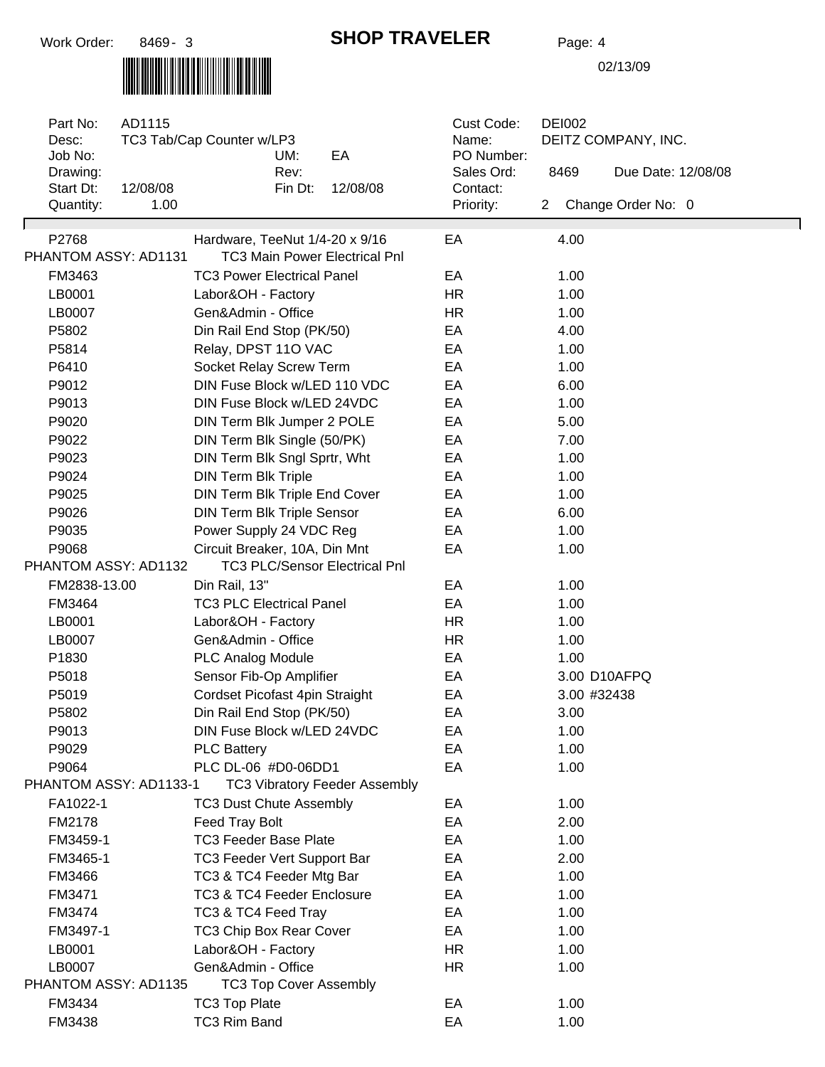# 

## **SHOP TRAVELER** Page: 4

| Part No:<br>Desc:<br>Job No:  | AD1115           | TC3 Tab/Cap Counter w/LP3<br>UM:                                       | EA                                   | Cust Code:<br>Name:<br>PO Number: | <b>DEI002</b><br>DEITZ COMPANY, INC. |                    |  |  |
|-------------------------------|------------------|------------------------------------------------------------------------|--------------------------------------|-----------------------------------|--------------------------------------|--------------------|--|--|
| Drawing:                      |                  | Rev:                                                                   |                                      | Sales Ord:                        | 8469                                 | Due Date: 12/08/08 |  |  |
| Start Dt:<br>Quantity:        | 12/08/08<br>1.00 | Fin Dt:                                                                | 12/08/08                             | Contact:<br>Priority:             | $\mathbf{2}^{\prime}$                | Change Order No: 0 |  |  |
|                               |                  |                                                                        |                                      |                                   |                                      |                    |  |  |
| P2768<br>PHANTOM ASSY: AD1131 |                  | Hardware, TeeNut 1/4-20 x 9/16<br><b>TC3 Main Power Electrical Pnl</b> |                                      | EA                                | 4.00                                 |                    |  |  |
| FM3463                        |                  | <b>TC3 Power Electrical Panel</b>                                      |                                      | EA                                | 1.00                                 |                    |  |  |
| LB0001                        |                  | Labor&OH - Factory                                                     |                                      | <b>HR</b>                         | 1.00                                 |                    |  |  |
| LB0007                        |                  | Gen&Admin - Office                                                     |                                      | <b>HR</b>                         | 1.00                                 |                    |  |  |
| P5802                         |                  | Din Rail End Stop (PK/50)                                              |                                      | EA                                | 4.00                                 |                    |  |  |
| P5814                         |                  | Relay, DPST 11O VAC                                                    |                                      | EA                                | 1.00                                 |                    |  |  |
| P6410                         |                  | Socket Relay Screw Term                                                |                                      | EA                                | 1.00                                 |                    |  |  |
| P9012                         |                  | DIN Fuse Block w/LED 110 VDC                                           |                                      | EA                                | 6.00                                 |                    |  |  |
| P9013                         |                  | DIN Fuse Block w/LED 24VDC                                             |                                      | EA                                | 1.00                                 |                    |  |  |
| P9020                         |                  | DIN Term Blk Jumper 2 POLE                                             |                                      | EA                                | 5.00                                 |                    |  |  |
| P9022                         |                  | DIN Term Blk Single (50/PK)                                            |                                      | EA                                | 7.00                                 |                    |  |  |
| P9023                         |                  | DIN Term Blk Sngl Sprtr, Wht                                           |                                      | EA                                | 1.00                                 |                    |  |  |
| P9024                         |                  | <b>DIN Term Blk Triple</b>                                             |                                      | EA                                | 1.00                                 |                    |  |  |
| P9025                         |                  | DIN Term Blk Triple End Cover                                          |                                      | EA                                | 1.00                                 |                    |  |  |
| P9026                         |                  | <b>DIN Term Blk Triple Sensor</b>                                      |                                      | EA                                | 6.00                                 |                    |  |  |
| P9035                         |                  | Power Supply 24 VDC Reg                                                |                                      | EA                                | 1.00                                 |                    |  |  |
| P9068                         |                  | Circuit Breaker, 10A, Din Mnt                                          |                                      | EA                                | 1.00                                 |                    |  |  |
| PHANTOM ASSY: AD1132          |                  | <b>TC3 PLC/Sensor Electrical Pnl</b>                                   |                                      |                                   |                                      |                    |  |  |
| FM2838-13.00                  |                  | Din Rail, 13"                                                          |                                      | EA                                | 1.00                                 |                    |  |  |
| FM3464                        |                  | <b>TC3 PLC Electrical Panel</b>                                        |                                      | EA                                | 1.00                                 |                    |  |  |
| LB0001                        |                  | Labor&OH - Factory                                                     |                                      | HR.                               | 1.00                                 |                    |  |  |
| LB0007                        |                  | Gen&Admin - Office                                                     |                                      | <b>HR</b>                         | 1.00                                 |                    |  |  |
| P1830                         |                  | <b>PLC Analog Module</b>                                               |                                      | EA                                | 1.00                                 |                    |  |  |
| P5018                         |                  | Sensor Fib-Op Amplifier                                                |                                      | EA                                |                                      | 3.00 D10AFPQ       |  |  |
| P5019                         |                  | Cordset Picofast 4pin Straight                                         |                                      | EA                                |                                      | 3.00 #32438        |  |  |
| P5802                         |                  | Din Rail End Stop (PK/50)                                              |                                      | EA                                | 3.00                                 |                    |  |  |
| P9013                         |                  | DIN Fuse Block w/LED 24VDC                                             |                                      | EA                                | 1.00                                 |                    |  |  |
| P9029                         |                  | <b>PLC Battery</b>                                                     |                                      | EA                                | 1.00                                 |                    |  |  |
| P9064                         |                  | PLC DL-06 #D0-06DD1                                                    |                                      | EA                                | 1.00                                 |                    |  |  |
| PHANTOM ASSY: AD1133-1        |                  |                                                                        | <b>TC3 Vibratory Feeder Assembly</b> |                                   |                                      |                    |  |  |
| FA1022-1                      |                  | <b>TC3 Dust Chute Assembly</b>                                         |                                      | EA                                | 1.00                                 |                    |  |  |
| FM2178                        |                  | Feed Tray Bolt                                                         |                                      | EA                                | 2.00                                 |                    |  |  |
| FM3459-1                      |                  | <b>TC3 Feeder Base Plate</b>                                           |                                      | EA                                | 1.00                                 |                    |  |  |
| FM3465-1                      |                  | TC3 Feeder Vert Support Bar                                            |                                      | EA                                | 2.00                                 |                    |  |  |
| FM3466                        |                  | TC3 & TC4 Feeder Mtg Bar                                               |                                      | EA                                | 1.00                                 |                    |  |  |
| FM3471                        |                  | <b>TC3 &amp; TC4 Feeder Enclosure</b>                                  |                                      | EA                                | 1.00                                 |                    |  |  |
| FM3474                        |                  | TC3 & TC4 Feed Tray                                                    |                                      | EA                                | 1.00                                 |                    |  |  |
| FM3497-1                      |                  | TC3 Chip Box Rear Cover                                                |                                      | EA                                | 1.00                                 |                    |  |  |
| LB0001                        |                  | Labor&OH - Factory                                                     |                                      | <b>HR</b>                         | 1.00                                 |                    |  |  |
| LB0007                        |                  | Gen&Admin - Office                                                     |                                      | HR                                | 1.00                                 |                    |  |  |
| PHANTOM ASSY: AD1135          |                  | <b>TC3 Top Cover Assembly</b>                                          |                                      |                                   |                                      |                    |  |  |
| FM3434                        |                  | <b>TC3 Top Plate</b>                                                   |                                      | EA                                | 1.00                                 |                    |  |  |
| FM3438                        |                  | TC3 Rim Band                                                           |                                      | EA                                | 1.00                                 |                    |  |  |
|                               |                  |                                                                        |                                      |                                   |                                      |                    |  |  |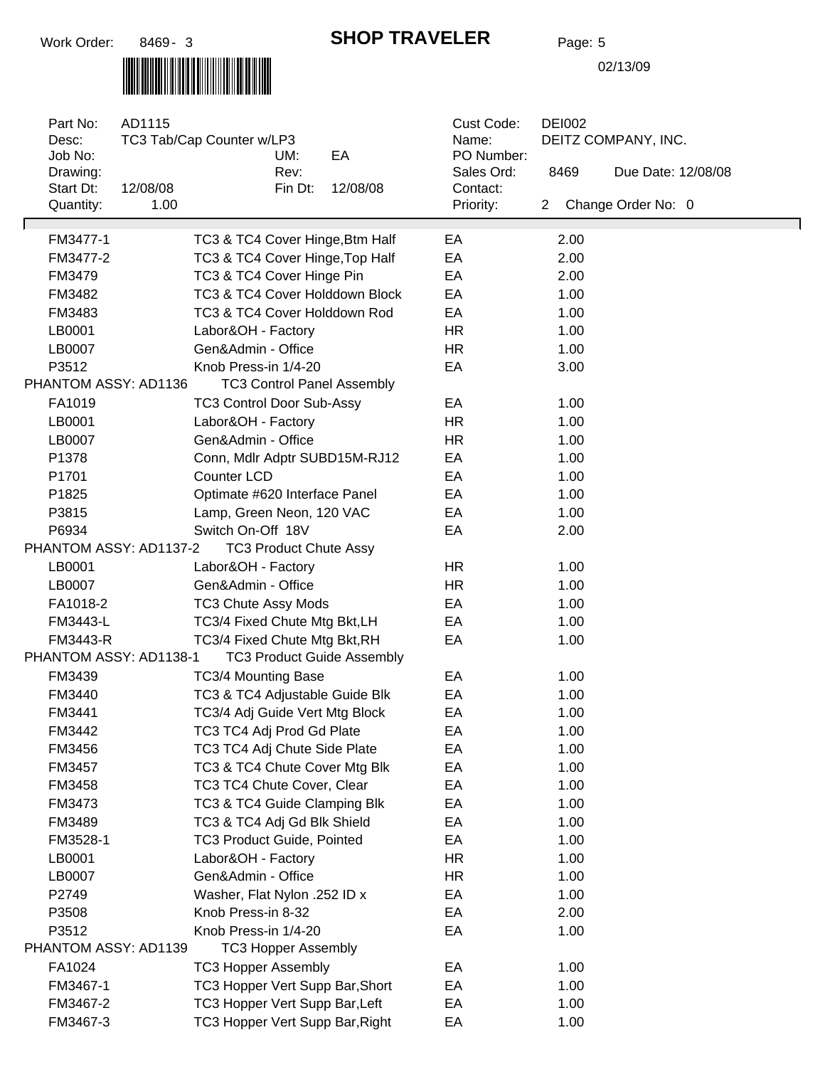# 

#### **SHOP TRAVELER** Page: 5

| Part No:<br>Desc:<br>Job No:<br>Drawing: | AD1115<br>TC3 Tab/Cap Counter w/LP3<br>UM:<br>EA<br>Rev: | Cust Code:<br>Name:<br>PO Number:<br>Sales Ord: | <b>DEI002</b><br>DEITZ COMPANY, INC.<br>8469<br>Due Date: 12/08/08 |  |
|------------------------------------------|----------------------------------------------------------|-------------------------------------------------|--------------------------------------------------------------------|--|
| Start Dt:<br>Quantity:                   | 12/08/08<br>Fin Dt:<br>12/08/08<br>1.00                  | Contact:<br>Priority:                           | Change Order No: 0<br>$\mathbf{2}$                                 |  |
|                                          |                                                          |                                                 |                                                                    |  |
| FM3477-1                                 | TC3 & TC4 Cover Hinge, Btm Half                          | EA                                              | 2.00                                                               |  |
| FM3477-2                                 | TC3 & TC4 Cover Hinge, Top Half                          | EA                                              | 2.00                                                               |  |
| FM3479                                   | TC3 & TC4 Cover Hinge Pin                                | EA                                              | 2.00                                                               |  |
| FM3482                                   | TC3 & TC4 Cover Holddown Block                           | EA                                              | 1.00                                                               |  |
| FM3483                                   | TC3 & TC4 Cover Holddown Rod                             | EA                                              | 1.00                                                               |  |
| LB0001                                   | Labor&OH - Factory                                       | <b>HR</b>                                       | 1.00                                                               |  |
| LB0007                                   | Gen&Admin - Office                                       | <b>HR</b>                                       | 1.00                                                               |  |
| P3512                                    | Knob Press-in 1/4-20                                     | EA                                              | 3.00                                                               |  |
| PHANTOM ASSY: AD1136                     | <b>TC3 Control Panel Assembly</b>                        |                                                 |                                                                    |  |
| FA1019                                   | <b>TC3 Control Door Sub-Assy</b>                         | EA                                              | 1.00                                                               |  |
| LB0001                                   | Labor&OH - Factory                                       | <b>HR</b>                                       | 1.00                                                               |  |
| LB0007                                   | Gen&Admin - Office                                       | <b>HR</b>                                       | 1.00                                                               |  |
| P1378                                    | Conn, Mdlr Adptr SUBD15M-RJ12                            | EA                                              | 1.00                                                               |  |
| P1701                                    | <b>Counter LCD</b>                                       | EA                                              | 1.00                                                               |  |
| P1825                                    | Optimate #620 Interface Panel                            | EA                                              | 1.00                                                               |  |
| P3815                                    | Lamp, Green Neon, 120 VAC                                | EA                                              | 1.00                                                               |  |
| P6934                                    | Switch On-Off 18V                                        | EA                                              | 2.00                                                               |  |
| PHANTOM ASSY: AD1137-2                   | <b>TC3 Product Chute Assy</b>                            |                                                 |                                                                    |  |
| LB0001                                   | Labor&OH - Factory                                       | <b>HR</b>                                       | 1.00                                                               |  |
| LB0007                                   | Gen&Admin - Office                                       | <b>HR</b>                                       | 1.00                                                               |  |
| FA1018-2                                 | <b>TC3 Chute Assy Mods</b>                               | EA                                              | 1.00                                                               |  |
| FM3443-L                                 | TC3/4 Fixed Chute Mtg Bkt, LH                            | EA                                              | 1.00                                                               |  |
| FM3443-R                                 | TC3/4 Fixed Chute Mtg Bkt, RH                            | EA                                              | 1.00                                                               |  |
| PHANTOM ASSY: AD1138-1                   | <b>TC3 Product Guide Assembly</b>                        |                                                 |                                                                    |  |
| FM3439                                   | TC3/4 Mounting Base                                      | EA                                              | 1.00                                                               |  |
| FM3440                                   | TC3 & TC4 Adjustable Guide Blk                           | EA                                              | 1.00                                                               |  |
| FM3441                                   | TC3/4 Adj Guide Vert Mtg Block                           | EA                                              | 1.00                                                               |  |
| FM3442                                   | TC3 TC4 Adj Prod Gd Plate                                | EA                                              | 1.00                                                               |  |
| FM3456                                   | TC3 TC4 Adj Chute Side Plate                             | EA                                              | 1.00                                                               |  |
| FM3457                                   | TC3 & TC4 Chute Cover Mtg Blk                            | EA                                              | 1.00                                                               |  |
| FM3458                                   | TC3 TC4 Chute Cover, Clear                               | EA                                              | 1.00                                                               |  |
| FM3473                                   | TC3 & TC4 Guide Clamping Blk                             | EA                                              | 1.00                                                               |  |
| FM3489                                   | TC3 & TC4 Adj Gd Blk Shield                              | EA                                              | 1.00                                                               |  |
| FM3528-1                                 | <b>TC3 Product Guide, Pointed</b>                        | EA                                              | 1.00                                                               |  |
| LB0001                                   | Labor&OH - Factory                                       | HR                                              | 1.00                                                               |  |
| LB0007                                   | Gen&Admin - Office                                       | <b>HR</b>                                       | 1.00                                                               |  |
| P2749                                    | Washer, Flat Nylon .252 ID x                             | EA                                              | 1.00                                                               |  |
| P3508                                    | Knob Press-in 8-32                                       | EA                                              | 2.00                                                               |  |
| P3512                                    | Knob Press-in 1/4-20                                     | EA                                              | 1.00                                                               |  |
| PHANTOM ASSY: AD1139                     | <b>TC3 Hopper Assembly</b>                               |                                                 |                                                                    |  |
| FA1024                                   | <b>TC3 Hopper Assembly</b>                               | EA                                              | 1.00                                                               |  |
| FM3467-1                                 | TC3 Hopper Vert Supp Bar, Short                          | EA                                              | 1.00                                                               |  |
| FM3467-2                                 | TC3 Hopper Vert Supp Bar, Left                           | EA                                              | 1.00                                                               |  |
| FM3467-3                                 | TC3 Hopper Vert Supp Bar, Right                          | EA                                              | 1.00                                                               |  |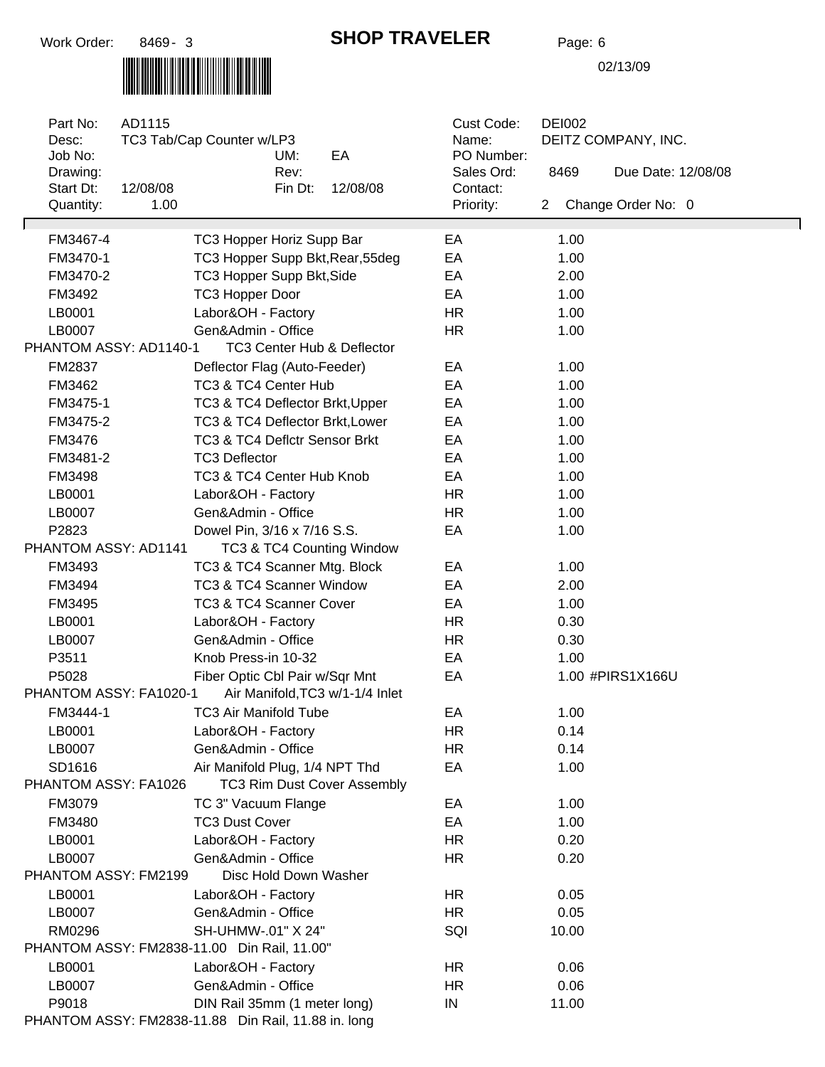### **SHOP TRAVELER** Page: 6

## 

| Part No:<br>Desc:<br>Job No:                        | AD1115           | TC3 Tab/Cap Counter w/LP3        | UM:     | EA                                    | Cust Code:<br>Name:<br>PO Number: |                       | <b>DEI002</b> | DEITZ COMPANY, INC. |
|-----------------------------------------------------|------------------|----------------------------------|---------|---------------------------------------|-----------------------------------|-----------------------|---------------|---------------------|
| Drawing:                                            |                  |                                  | Rev:    |                                       | Sales Ord:                        |                       | 8469          | Due Date: 12/08/08  |
| Start Dt:<br>Quantity:                              | 12/08/08<br>1.00 |                                  | Fin Dt: | 12/08/08                              | Contact:<br>Priority:             | $\mathbf{2}^{\prime}$ |               | Change Order No: 0  |
|                                                     |                  |                                  |         |                                       |                                   |                       |               |                     |
| FM3467-4                                            |                  | TC3 Hopper Horiz Supp Bar        |         |                                       | EA                                |                       | 1.00          |                     |
| FM3470-1                                            |                  | TC3 Hopper Supp Bkt, Rear, 55deg |         |                                       | EA                                |                       | 1.00          |                     |
| FM3470-2                                            |                  | TC3 Hopper Supp Bkt, Side        |         |                                       | EA                                |                       | 2.00          |                     |
| FM3492                                              |                  | <b>TC3 Hopper Door</b>           |         |                                       | EA                                |                       | 1.00          |                     |
| LB0001                                              |                  | Labor&OH - Factory               |         |                                       | <b>HR</b>                         |                       | 1.00          |                     |
| LB0007                                              |                  | Gen&Admin - Office               |         |                                       | <b>HR</b>                         |                       | 1.00          |                     |
| PHANTOM ASSY: AD1140-1                              |                  |                                  |         | <b>TC3 Center Hub &amp; Deflector</b> |                                   |                       |               |                     |
| FM2837                                              |                  | Deflector Flag (Auto-Feeder)     |         |                                       | EA                                |                       | 1.00          |                     |
| FM3462                                              |                  | TC3 & TC4 Center Hub             |         |                                       | EA                                |                       | 1.00          |                     |
| FM3475-1                                            |                  | TC3 & TC4 Deflector Brkt, Upper  |         |                                       | EA                                |                       | 1.00          |                     |
| FM3475-2                                            |                  | TC3 & TC4 Deflector Brkt, Lower  |         |                                       | EA                                |                       | 1.00          |                     |
| FM3476                                              |                  | TC3 & TC4 Deflctr Sensor Brkt    |         |                                       | EA                                |                       | 1.00          |                     |
| FM3481-2                                            |                  | <b>TC3 Deflector</b>             |         |                                       | EA                                |                       | 1.00          |                     |
| FM3498                                              |                  | TC3 & TC4 Center Hub Knob        |         |                                       | EA                                |                       | 1.00          |                     |
| LB0001                                              |                  | Labor&OH - Factory               |         |                                       | <b>HR</b>                         |                       | 1.00          |                     |
| LB0007                                              |                  | Gen&Admin - Office               |         |                                       | <b>HR</b>                         |                       | 1.00          |                     |
| P2823                                               |                  | Dowel Pin, 3/16 x 7/16 S.S.      |         |                                       | EA                                |                       | 1.00          |                     |
| PHANTOM ASSY: AD1141                                |                  |                                  |         | TC3 & TC4 Counting Window             |                                   |                       |               |                     |
| FM3493                                              |                  | TC3 & TC4 Scanner Mtg. Block     |         |                                       | EA                                |                       | 1.00          |                     |
| FM3494                                              |                  | TC3 & TC4 Scanner Window         |         |                                       | EA                                |                       | 2.00          |                     |
| FM3495                                              |                  | TC3 & TC4 Scanner Cover          |         |                                       | EA                                |                       | 1.00          |                     |
| LB0001                                              |                  | Labor&OH - Factory               |         |                                       | <b>HR</b>                         |                       | 0.30          |                     |
| LB0007                                              |                  | Gen&Admin - Office               |         |                                       | <b>HR</b>                         |                       | 0.30          |                     |
| P3511                                               |                  | Knob Press-in 10-32              |         |                                       | EA                                |                       | 1.00          |                     |
| P5028                                               |                  | Fiber Optic Cbl Pair w/Sqr Mnt   |         |                                       | EA                                |                       |               | 1.00 #PIRS1X166U    |
| PHANTOM ASSY: FA1020-1                              |                  |                                  |         | Air Manifold, TC3 w/1-1/4 Inlet       |                                   |                       |               |                     |
| FM3444-1                                            |                  | TC3 Air Manifold Tube            |         |                                       | EA                                |                       | 1.00          |                     |
| LB0001                                              |                  | Labor&OH - Factory               |         |                                       | HR                                |                       | 0.14          |                     |
| LB0007                                              |                  | Gen&Admin - Office               |         |                                       | <b>HR</b>                         |                       | 0.14          |                     |
| SD1616                                              |                  | Air Manifold Plug, 1/4 NPT Thd   |         |                                       | EA                                |                       | 1.00          |                     |
| PHANTOM ASSY: FA1026                                |                  |                                  |         | TC3 Rim Dust Cover Assembly           |                                   |                       |               |                     |
| FM3079                                              |                  | TC 3" Vacuum Flange              |         |                                       | EA                                |                       | 1.00          |                     |
| FM3480                                              |                  | <b>TC3 Dust Cover</b>            |         |                                       | EA                                |                       | 1.00          |                     |
| LB0001                                              |                  | Labor&OH - Factory               |         |                                       | <b>HR</b>                         |                       | 0.20          |                     |
| LB0007                                              |                  | Gen&Admin - Office               |         |                                       | <b>HR</b>                         |                       | 0.20          |                     |
| PHANTOM ASSY: FM2199                                |                  | Disc Hold Down Washer            |         |                                       |                                   |                       |               |                     |
| LB0001                                              |                  | Labor&OH - Factory               |         |                                       | <b>HR</b>                         |                       | 0.05          |                     |
| LB0007                                              |                  | Gen&Admin - Office               |         |                                       | <b>HR</b>                         |                       | 0.05          |                     |
| RM0296                                              |                  | SH-UHMW-.01" X 24"               |         |                                       | SQI                               |                       | 10.00         |                     |
| PHANTOM ASSY: FM2838-11.00 Din Rail, 11.00"         |                  |                                  |         |                                       |                                   |                       |               |                     |
| LB0001                                              |                  | Labor&OH - Factory               |         |                                       | <b>HR</b>                         |                       | 0.06          |                     |
| LB0007                                              |                  | Gen&Admin - Office               |         |                                       | <b>HR</b>                         |                       | 0.06          |                     |
| P9018                                               |                  | DIN Rail 35mm (1 meter long)     |         |                                       | IN                                |                       | 11.00         |                     |
| PHANTOM ASSY: FM2838-11.88 Din Rail, 11.88 in. long |                  |                                  |         |                                       |                                   |                       |               |                     |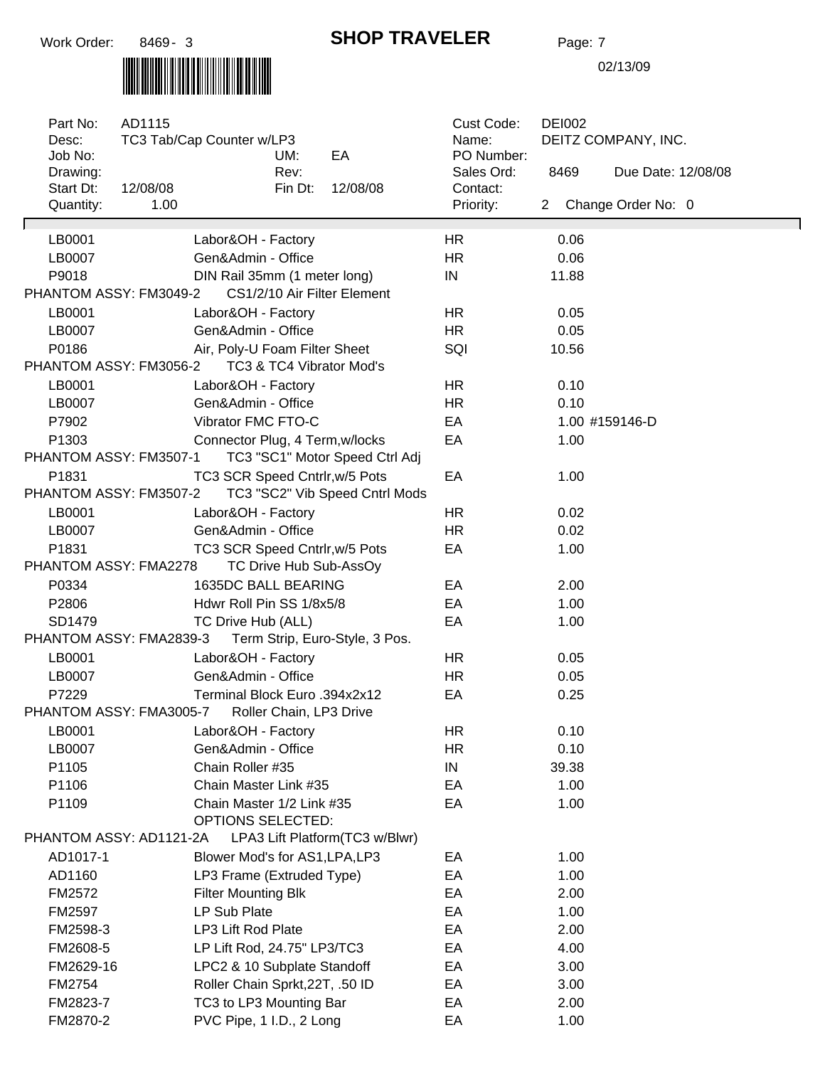

#### **SHOP TRAVELER** Page: 7

| Part No:<br>Desc:<br>Job No:<br>Drawing:        | AD1115   | TC3 Tab/Cap Counter w/LP3       | UM:<br>Rev:            | EA                              | Cust Code:<br>Name:<br>PO Number:<br>Sales Ord: | <b>DEI002</b><br>DEITZ COMPANY, INC.<br>8469<br>Due Date: 12/08/08 |                      |  |  |
|-------------------------------------------------|----------|---------------------------------|------------------------|---------------------------------|-------------------------------------------------|--------------------------------------------------------------------|----------------------|--|--|
| Start Dt:                                       | 12/08/08 |                                 | Fin Dt:                | 12/08/08                        | Contact:                                        |                                                                    |                      |  |  |
| Quantity:                                       | 1.00     |                                 |                        |                                 | Priority:                                       |                                                                    | 2 Change Order No: 0 |  |  |
| LB0001                                          |          | Labor&OH - Factory              |                        |                                 | <b>HR</b>                                       | 0.06                                                               |                      |  |  |
| LB0007                                          |          | Gen&Admin - Office              |                        |                                 | <b>HR</b>                                       | 0.06                                                               |                      |  |  |
| P9018                                           |          | DIN Rail 35mm (1 meter long)    |                        |                                 | IN                                              | 11.88                                                              |                      |  |  |
| PHANTOM ASSY: FM3049-2                          |          |                                 |                        | CS1/2/10 Air Filter Element     |                                                 |                                                                    |                      |  |  |
| LB0001                                          |          | Labor&OH - Factory              |                        |                                 | <b>HR</b>                                       | 0.05                                                               |                      |  |  |
| LB0007                                          |          | Gen&Admin - Office              |                        |                                 | <b>HR</b>                                       | 0.05                                                               |                      |  |  |
| P0186                                           |          | Air, Poly-U Foam Filter Sheet   |                        |                                 | SQI                                             | 10.56                                                              |                      |  |  |
| PHANTOM ASSY: FM3056-2                          |          |                                 |                        | TC3 & TC4 Vibrator Mod's        |                                                 |                                                                    |                      |  |  |
| LB0001                                          |          | Labor&OH - Factory              |                        |                                 | <b>HR</b>                                       | 0.10                                                               |                      |  |  |
| LB0007                                          |          | Gen&Admin - Office              |                        |                                 | <b>HR</b>                                       | 0.10                                                               |                      |  |  |
| P7902                                           |          | Vibrator FMC FTO-C              |                        |                                 | EA                                              |                                                                    | 1.00 #159146-D       |  |  |
| P1303                                           |          | Connector Plug, 4 Term, w/locks |                        |                                 | EA                                              | 1.00                                                               |                      |  |  |
| PHANTOM ASSY: FM3507-1                          |          |                                 |                        | TC3 "SC1" Motor Speed Ctrl Adj  |                                                 |                                                                    |                      |  |  |
| P1831                                           |          | TC3 SCR Speed Cntrlr, w/5 Pots  |                        |                                 | EA                                              | 1.00                                                               |                      |  |  |
| PHANTOM ASSY: FM3507-2                          |          |                                 |                        | TC3 "SC2" Vib Speed Cntrl Mods  |                                                 |                                                                    |                      |  |  |
| LB0001                                          |          | Labor&OH - Factory              |                        |                                 | <b>HR</b>                                       | 0.02                                                               |                      |  |  |
| LB0007                                          |          | Gen&Admin - Office              |                        |                                 | <b>HR</b>                                       | 0.02                                                               |                      |  |  |
| P1831                                           |          | TC3 SCR Speed Cntrlr, w/5 Pots  |                        |                                 | EA                                              | 1.00                                                               |                      |  |  |
| PHANTOM ASSY: FMA2278                           |          |                                 | TC Drive Hub Sub-AssOy |                                 |                                                 |                                                                    |                      |  |  |
| P0334                                           |          | 1635DC BALL BEARING             |                        |                                 | EA                                              | 2.00                                                               |                      |  |  |
| P2806                                           |          | Hdwr Roll Pin SS 1/8x5/8        |                        |                                 | EA                                              | 1.00                                                               |                      |  |  |
| SD1479                                          |          | TC Drive Hub (ALL)              |                        |                                 | EA                                              | 1.00                                                               |                      |  |  |
| PHANTOM ASSY: FMA2839-3                         |          |                                 |                        | Term Strip, Euro-Style, 3 Pos.  |                                                 |                                                                    |                      |  |  |
| LB0001                                          |          | Labor&OH - Factory              |                        |                                 | <b>HR</b>                                       | 0.05                                                               |                      |  |  |
| LB0007                                          |          | Gen&Admin - Office              |                        |                                 | <b>HR</b>                                       | 0.05                                                               |                      |  |  |
| P7229                                           |          | Terminal Block Euro .394x2x12   |                        |                                 | EA                                              | 0.25                                                               |                      |  |  |
| PHANTOM ASSY: FMA3005-7 Roller Chain, LP3 Drive |          |                                 |                        |                                 |                                                 |                                                                    |                      |  |  |
| LB0001                                          |          | Labor&OH - Factory              |                        |                                 | <b>HR</b>                                       | 0.10                                                               |                      |  |  |
| LB0007                                          |          | Gen&Admin - Office              |                        |                                 | <b>HR</b>                                       | 0.10                                                               |                      |  |  |
| P1105                                           |          | Chain Roller #35                |                        |                                 | IN                                              | 39.38                                                              |                      |  |  |
| P1106                                           |          | Chain Master Link #35           |                        |                                 | EA                                              | 1.00                                                               |                      |  |  |
| P1109                                           |          | Chain Master 1/2 Link #35       |                        |                                 | EA                                              | 1.00                                                               |                      |  |  |
|                                                 |          | OPTIONS SELECTED:               |                        |                                 |                                                 |                                                                    |                      |  |  |
| PHANTOM ASSY: AD1121-2A                         |          |                                 |                        | LPA3 Lift Platform (TC3 w/Blwr) |                                                 |                                                                    |                      |  |  |
| AD1017-1                                        |          | Blower Mod's for AS1, LPA, LP3  |                        |                                 | EA                                              | 1.00                                                               |                      |  |  |
| AD1160                                          |          | LP3 Frame (Extruded Type)       |                        |                                 | EA                                              | 1.00                                                               |                      |  |  |
| FM2572                                          |          | <b>Filter Mounting Blk</b>      |                        |                                 | EA                                              | 2.00                                                               |                      |  |  |
| FM2597                                          |          | LP Sub Plate                    |                        |                                 | EA                                              | 1.00                                                               |                      |  |  |
| FM2598-3                                        |          | LP3 Lift Rod Plate              |                        |                                 | EA                                              | 2.00                                                               |                      |  |  |
| FM2608-5                                        |          | LP Lift Rod, 24.75" LP3/TC3     |                        |                                 | EA                                              | 4.00                                                               |                      |  |  |
| FM2629-16                                       |          | LPC2 & 10 Subplate Standoff     |                        |                                 | EA                                              | 3.00                                                               |                      |  |  |
| FM2754                                          |          | Roller Chain Sprkt, 22T, .50 ID |                        |                                 | EA                                              | 3.00                                                               |                      |  |  |
| FM2823-7                                        |          | TC3 to LP3 Mounting Bar         |                        |                                 | EA                                              | 2.00                                                               |                      |  |  |
| FM2870-2                                        |          | PVC Pipe, 1 I.D., 2 Long        |                        |                                 | EA                                              | 1.00                                                               |                      |  |  |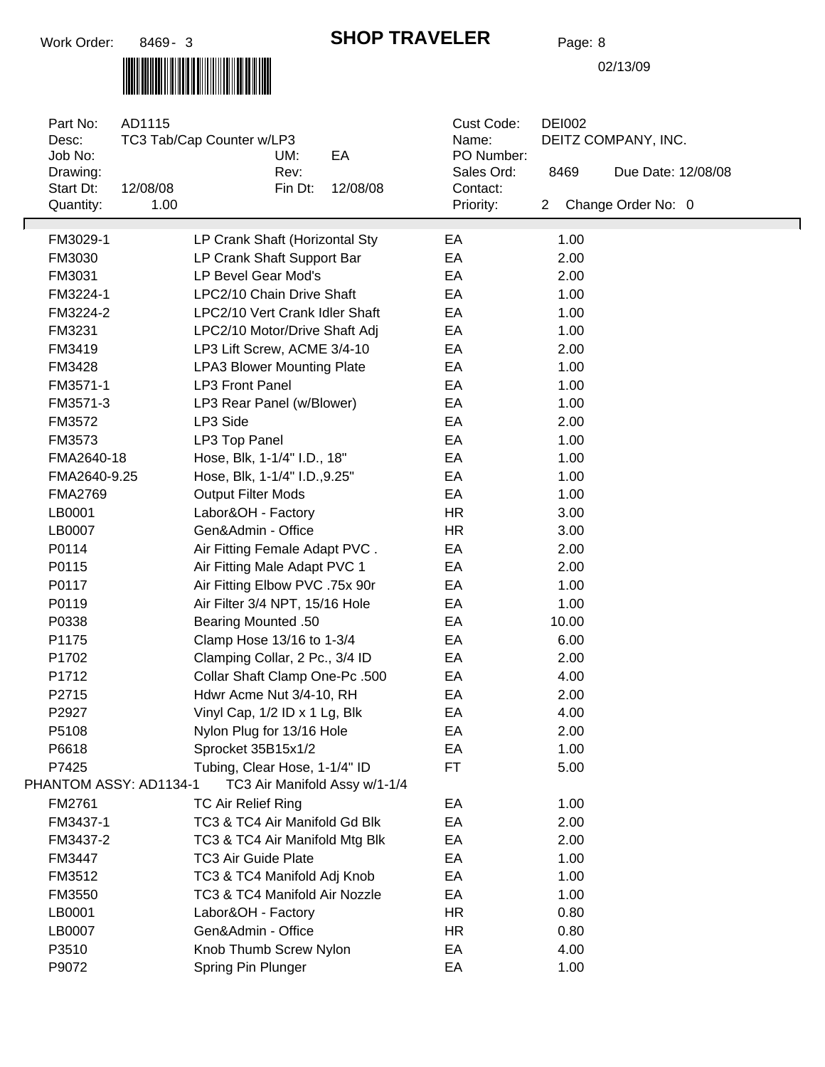

### **SHOP TRAVELER** Page: 8

| Part No:<br>Desc:<br>Job No: | AD1115           | TC3 Tab/Cap Counter w/LP3                | UM:     | EA                            | Cust Code:<br>Name:<br>PO Number: |                      | <b>DEI002</b><br>DEITZ COMPANY, INC. |                    |  |  |
|------------------------------|------------------|------------------------------------------|---------|-------------------------------|-----------------------------------|----------------------|--------------------------------------|--------------------|--|--|
| Drawing:                     |                  |                                          | Rev:    |                               | Sales Ord:                        |                      | 8469                                 | Due Date: 12/08/08 |  |  |
| Start Dt:<br>Quantity:       | 12/08/08<br>1.00 |                                          | Fin Dt: | 12/08/08                      | Contact:<br>Priority:             | $\mathbf{2}^{\circ}$ |                                      | Change Order No: 0 |  |  |
|                              |                  |                                          |         |                               |                                   |                      |                                      |                    |  |  |
| FM3029-1                     |                  | LP Crank Shaft (Horizontal Sty           |         |                               | EA                                |                      | 1.00                                 |                    |  |  |
| FM3030                       |                  | LP Crank Shaft Support Bar               |         |                               | EA                                |                      | 2.00                                 |                    |  |  |
| FM3031                       |                  | LP Bevel Gear Mod's                      |         |                               | EA                                |                      | 2.00                                 |                    |  |  |
| FM3224-1                     |                  | LPC2/10 Chain Drive Shaft                |         |                               | EA                                |                      | 1.00                                 |                    |  |  |
| FM3224-2                     |                  | LPC2/10 Vert Crank Idler Shaft           |         |                               | EA                                |                      | 1.00                                 |                    |  |  |
| FM3231                       |                  | LPC2/10 Motor/Drive Shaft Adj            |         |                               | EA                                |                      | 1.00                                 |                    |  |  |
| FM3419                       |                  | LP3 Lift Screw, ACME 3/4-10              |         |                               | EA                                |                      | 2.00                                 |                    |  |  |
| FM3428                       |                  | <b>LPA3 Blower Mounting Plate</b>        |         |                               | EA                                |                      | 1.00                                 |                    |  |  |
| FM3571-1                     |                  | <b>LP3 Front Panel</b>                   |         |                               | EA                                |                      | 1.00                                 |                    |  |  |
| FM3571-3                     |                  | LP3 Rear Panel (w/Blower)                |         |                               | EA                                |                      | 1.00                                 |                    |  |  |
| FM3572                       |                  | LP3 Side                                 |         |                               | EA                                |                      | 2.00                                 |                    |  |  |
| FM3573                       |                  | LP3 Top Panel                            |         |                               | EA                                |                      | 1.00                                 |                    |  |  |
| FMA2640-18                   |                  | Hose, Blk, 1-1/4" I.D., 18"              |         |                               | EA                                |                      | 1.00                                 |                    |  |  |
| FMA2640-9.25                 |                  | Hose, Blk, 1-1/4" I.D., 9.25"            |         |                               | EA                                |                      | 1.00                                 |                    |  |  |
| <b>FMA2769</b>               |                  | <b>Output Filter Mods</b>                |         |                               | EA                                |                      | 1.00                                 |                    |  |  |
| LB0001                       |                  | Labor&OH - Factory<br>Gen&Admin - Office |         |                               | <b>HR</b>                         |                      | 3.00                                 |                    |  |  |
| LB0007<br>P0114              |                  | Air Fitting Female Adapt PVC.            |         |                               | <b>HR</b><br>EA                   |                      | 3.00<br>2.00                         |                    |  |  |
| P0115                        |                  | Air Fitting Male Adapt PVC 1             |         |                               | EA                                |                      | 2.00                                 |                    |  |  |
| P0117                        |                  | Air Fitting Elbow PVC .75x 90r           |         |                               | EA                                |                      | 1.00                                 |                    |  |  |
| P0119                        |                  | Air Filter 3/4 NPT, 15/16 Hole           |         |                               | EA                                |                      | 1.00                                 |                    |  |  |
| P0338                        |                  | <b>Bearing Mounted .50</b>               |         |                               | EA                                |                      | 10.00                                |                    |  |  |
| P1175                        |                  | Clamp Hose 13/16 to 1-3/4                |         |                               | EA                                |                      | 6.00                                 |                    |  |  |
| P1702                        |                  | Clamping Collar, 2 Pc., 3/4 ID           |         |                               | EA                                |                      | 2.00                                 |                    |  |  |
| P1712                        |                  | Collar Shaft Clamp One-Pc .500           |         |                               | EA                                |                      | 4.00                                 |                    |  |  |
| P2715                        |                  | Hdwr Acme Nut 3/4-10, RH                 |         |                               | EA                                |                      | 2.00                                 |                    |  |  |
| P2927                        |                  | Vinyl Cap, 1/2 ID x 1 Lg, Blk            |         |                               | EA                                |                      | 4.00                                 |                    |  |  |
| P5108                        |                  | Nylon Plug for 13/16 Hole                |         |                               | EA                                |                      | 2.00                                 |                    |  |  |
| P6618                        |                  | Sprocket 35B15x1/2                       |         |                               | EA                                |                      | 1.00                                 |                    |  |  |
| P7425                        |                  | Tubing, Clear Hose, 1-1/4" ID            |         |                               | <b>FT</b>                         |                      | 5.00                                 |                    |  |  |
| PHANTOM ASSY: AD1134-1       |                  |                                          |         | TC3 Air Manifold Assy w/1-1/4 |                                   |                      |                                      |                    |  |  |
| FM2761                       |                  | <b>TC Air Relief Ring</b>                |         |                               | EA                                |                      | 1.00                                 |                    |  |  |
| FM3437-1                     |                  | TC3 & TC4 Air Manifold Gd Blk            |         |                               | EA                                |                      | 2.00                                 |                    |  |  |
| FM3437-2                     |                  | TC3 & TC4 Air Manifold Mtg Blk           |         |                               | EA                                |                      | 2.00                                 |                    |  |  |
| FM3447                       |                  | <b>TC3 Air Guide Plate</b>               |         |                               | EA                                |                      | 1.00                                 |                    |  |  |
| FM3512                       |                  | TC3 & TC4 Manifold Adj Knob              |         |                               | EA                                |                      | 1.00                                 |                    |  |  |
| FM3550                       |                  | TC3 & TC4 Manifold Air Nozzle            |         |                               | EA                                |                      | 1.00                                 |                    |  |  |
| LB0001                       |                  | Labor&OH - Factory                       |         |                               | <b>HR</b>                         |                      | 0.80                                 |                    |  |  |
| LB0007                       |                  | Gen&Admin - Office                       |         |                               | <b>HR</b>                         |                      | 0.80                                 |                    |  |  |
| P3510                        |                  | Knob Thumb Screw Nylon                   |         |                               | EA                                |                      | 4.00                                 |                    |  |  |
| P9072                        |                  | Spring Pin Plunger                       |         |                               | EA                                |                      | 1.00                                 |                    |  |  |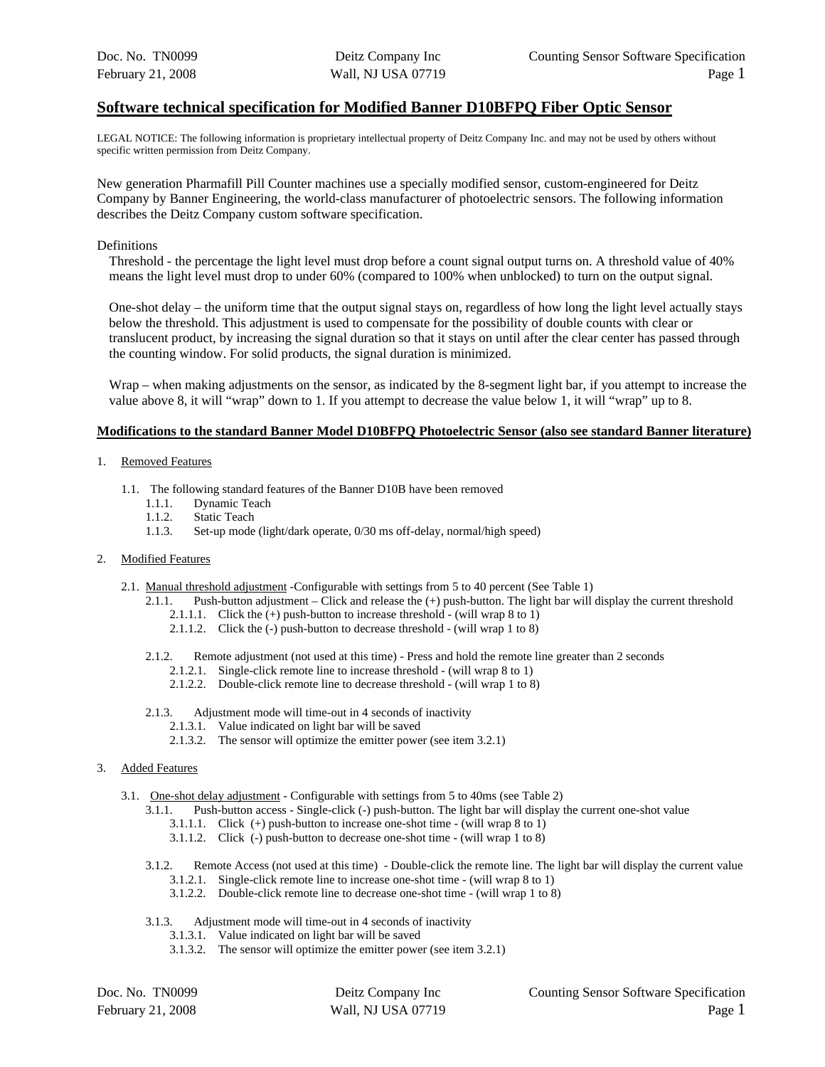#### **Software technical specification for Modified Banner D10BFPQ Fiber Optic Sensor**

LEGAL NOTICE: The following information is proprietary intellectual property of Deitz Company Inc. and may not be used by others without specific written permission from Deitz Company.

New generation Pharmafill Pill Counter machines use a specially modified sensor, custom-engineered for Deitz Company by Banner Engineering, the world-class manufacturer of photoelectric sensors. The following information describes the Deitz Company custom software specification.

#### Definitions

Threshold - the percentage the light level must drop before a count signal output turns on. A threshold value of 40% means the light level must drop to under 60% (compared to 100% when unblocked) to turn on the output signal.

One-shot delay – the uniform time that the output signal stays on, regardless of how long the light level actually stays below the threshold. This adjustment is used to compensate for the possibility of double counts with clear or translucent product, by increasing the signal duration so that it stays on until after the clear center has passed through the counting window. For solid products, the signal duration is minimized.

Wrap – when making adjustments on the sensor, as indicated by the 8-segment light bar, if you attempt to increase the value above 8, it will "wrap" down to 1. If you attempt to decrease the value below 1, it will "wrap" up to 8.

#### **Modifications to the standard Banner Model D10BFPQ Photoelectric Sensor (also see standard Banner literature)**

#### 1. Removed Features

- 1.1. The following standard features of the Banner D10B have been removed
	- 1.1.1. Dynamic Teach
	- 1.1.2. Static Teach
	- 1.1.3. Set-up mode (light/dark operate, 0/30 ms off-delay, normal/high speed)
- 2. Modified Features
	- 2.1. Manual threshold adjustment -Configurable with settings from 5 to 40 percent (See Table 1)
		- 2.1.1. Push-button adjustment Click and release the (+) push-button. The light bar will display the current threshold 2.1.1.1. Click the (+) push-button to increase threshold - (will wrap 8 to 1)
			- 2.1.1.2. Click the (-) push-button to decrease threshold (will wrap 1 to 8)
		- 2.1.2. Remote adjustment (not used at this time) Press and hold the remote line greater than 2 seconds
			- 2.1.2.1. Single-click remote line to increase threshold (will wrap 8 to 1)
			- 2.1.2.2. Double-click remote line to decrease threshold (will wrap 1 to 8)
		- 2.1.3. Adjustment mode will time-out in 4 seconds of inactivity
			- 2.1.3.1. Value indicated on light bar will be saved
			- 2.1.3.2. The sensor will optimize the emitter power (see item 3.2.1)

#### 3. Added Features

- 3.1. One-shot delay adjustment Configurable with settings from 5 to 40ms (see Table 2)
	- 3.1.1. Push-button access Single-click (-) push-button. The light bar will display the current one-shot value
		- 3.1.1.1. Click (+) push-button to increase one-shot time (will wrap 8 to 1)
		- 3.1.1.2. Click (-) push-button to decrease one-shot time (will wrap 1 to 8)
	- 3.1.2. Remote Access (not used at this time) Double-click the remote line. The light bar will display the current value 3.1.2.1. Single-click remote line to increase one-shot time - (will wrap 8 to 1)
		- 3.1.2.2. Double-click remote line to decrease one-shot time (will wrap 1 to 8)
	- 3.1.3. Adjustment mode will time-out in 4 seconds of inactivity
		- 3.1.3.1. Value indicated on light bar will be saved
		- 3.1.3.2. The sensor will optimize the emitter power (see item 3.2.1)

| Doc. No. TN0099   |  |
|-------------------|--|
| February 21, 2008 |  |